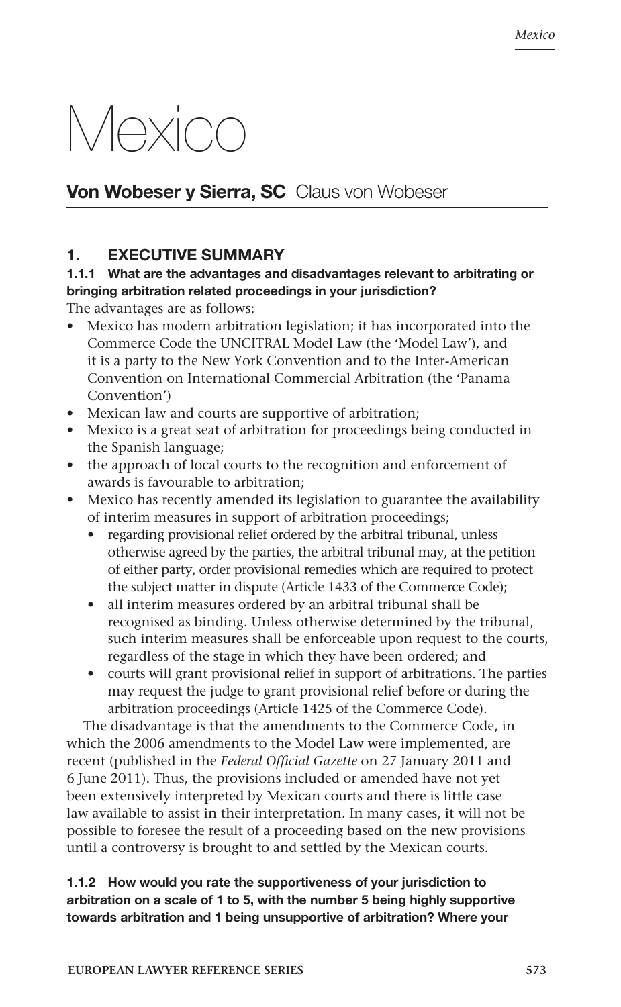# Mexico

# Von Wobeser y Sierra, SC Claus von Wobeser

# 1. EXECUTIVE SUMMARY

# 1.1.1 What are the advantages and disadvantages relevant to arbitrating or bringing arbitration related proceedings in your jurisdiction?

The advantages are as follows:

- Mexico has modern arbitration legislation; it has incorporated into the Commerce Code the UNCITRAL Model Law (the 'Model Law'), and it is a party to the New York Convention and to the Inter-American Convention on International Commercial Arbitration (the 'Panama Convention')
- Mexican law and courts are supportive of arbitration;
- Mexico is a great seat of arbitration for proceedings being conducted in the Spanish language;
- the approach of local courts to the recognition and enforcement of awards is favourable to arbitration;
- Mexico has recently amended its legislation to guarantee the availability of interim measures in support of arbitration proceedings;
	- regarding provisional relief ordered by the arbitral tribunal, unless otherwise agreed by the parties, the arbitral tribunal may, at the petition of either party, order provisional remedies which are required to protect the subject matter in dispute (Article 1433 of the Commerce Code);
	- all interim measures ordered by an arbitral tribunal shall be recognised as binding. Unless otherwise determined by the tribunal, such interim measures shall be enforceable upon request to the courts, regardless of the stage in which they have been ordered; and
	- courts will grant provisional relief in support of arbitrations. The parties may request the judge to grant provisional relief before or during the arbitration proceedings (Article 1425 of the Commerce Code).

The disadvantage is that the amendments to the Commerce Code, in which the 2006 amendments to the Model Law were implemented, are recent (published in the *Federal Official Gazette* on 27 January 2011 and 6 June 2011). Thus, the provisions included or amended have not yet been extensively interpreted by Mexican courts and there is little case law available to assist in their interpretation. In many cases, it will not be possible to foresee the result of a proceeding based on the new provisions until a controversy is brought to and settled by the Mexican courts.

# 1.1.2 How would you rate the supportiveness of your jurisdiction to arbitration on a scale of 1 to 5, with the number 5 being highly supportive towards arbitration and 1 being unsupportive of arbitration? Where your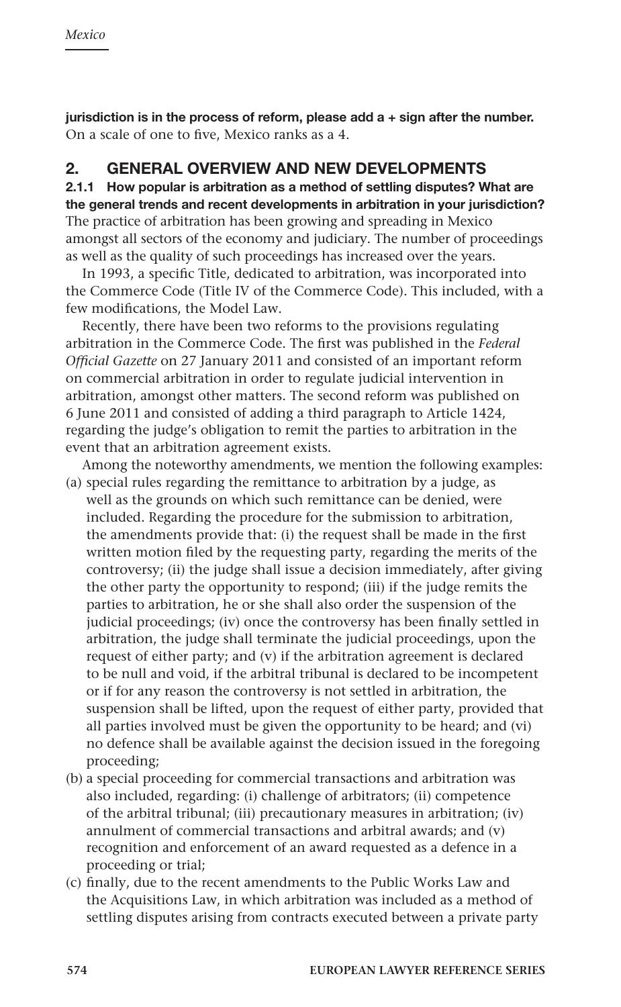jurisdiction is in the process of reform, please add  $a +$  sign after the number. On a scale of one to five, Mexico ranks as a 4.

# 2. GENERAL OVERVIEW AND NEW DEVELOPMENTS

2.1.1 How popular is arbitration as a method of settling disputes? What are the general trends and recent developments in arbitration in your jurisdiction? The practice of arbitration has been growing and spreading in Mexico amongst all sectors of the economy and judiciary. The number of proceedings as well as the quality of such proceedings has increased over the years.

In 1993, a specific Title, dedicated to arbitration, was incorporated into the Commerce Code (Title IV of the Commerce Code). This included, with a few modifications, the Model Law.

Recently, there have been two reforms to the provisions regulating arbitration in the Commerce Code. The first was published in the *Federal Official Gazette* on 27 January 2011 and consisted of an important reform on commercial arbitration in order to regulate judicial intervention in arbitration, amongst other matters. The second reform was published on 6 June 2011 and consisted of adding a third paragraph to Article 1424, regarding the judge's obligation to remit the parties to arbitration in the event that an arbitration agreement exists.

Among the noteworthy amendments, we mention the following examples: (a) special rules regarding the remittance to arbitration by a judge, as

- well as the grounds on which such remittance can be denied, were included. Regarding the procedure for the submission to arbitration, the amendments provide that: (i) the request shall be made in the first written motion filed by the requesting party, regarding the merits of the controversy; (ii) the judge shall issue a decision immediately, after giving the other party the opportunity to respond; (iii) if the judge remits the parties to arbitration, he or she shall also order the suspension of the judicial proceedings; (iv) once the controversy has been finally settled in arbitration, the judge shall terminate the judicial proceedings, upon the request of either party; and (v) if the arbitration agreement is declared to be null and void, if the arbitral tribunal is declared to be incompetent or if for any reason the controversy is not settled in arbitration, the suspension shall be lifted, upon the request of either party, provided that all parties involved must be given the opportunity to be heard; and (vi) no defence shall be available against the decision issued in the foregoing proceeding;
- (b) a special proceeding for commercial transactions and arbitration was also included, regarding: (i) challenge of arbitrators; (ii) competence of the arbitral tribunal; (iii) precautionary measures in arbitration; (iv) annulment of commercial transactions and arbitral awards; and (v) recognition and enforcement of an award requested as a defence in a proceeding or trial;
- (c) finally, due to the recent amendments to the Public Works Law and the Acquisitions Law, in which arbitration was included as a method of settling disputes arising from contracts executed between a private party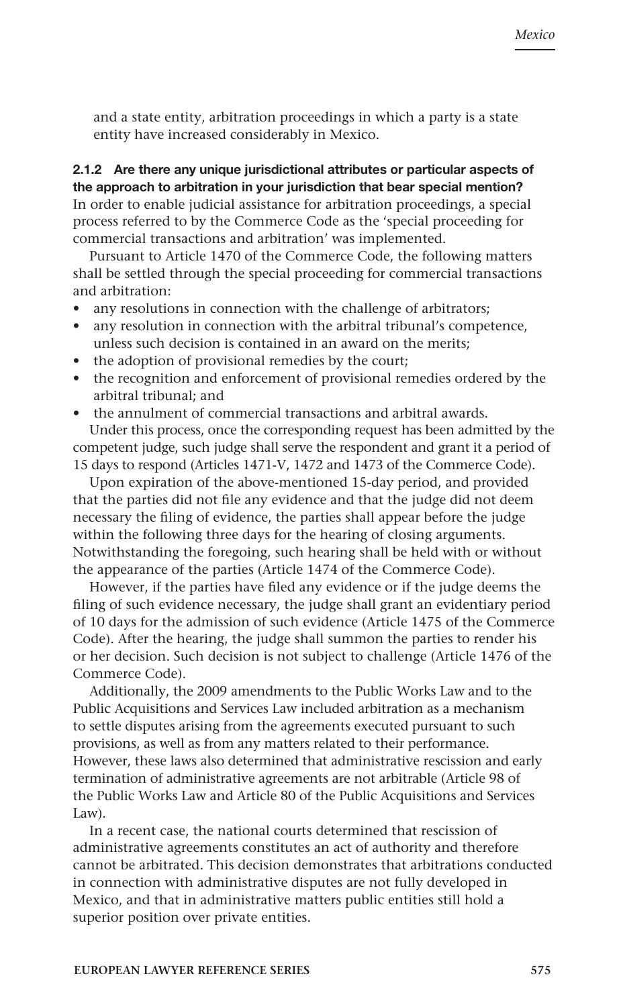and a state entity, arbitration proceedings in which a party is a state entity have increased considerably in Mexico.

# 2.1.2 Are there any unique jurisdictional attributes or particular aspects of the approach to arbitration in your jurisdiction that bear special mention? In order to enable judicial assistance for arbitration proceedings, a special process referred to by the Commerce Code as the 'special proceeding for commercial transactions and arbitration' was implemented.

Pursuant to Article 1470 of the Commerce Code, the following matters shall be settled through the special proceeding for commercial transactions and arbitration:

- any resolutions in connection with the challenge of arbitrators;
- any resolution in connection with the arbitral tribunal's competence, unless such decision is contained in an award on the merits;
- the adoption of provisional remedies by the court;
- the recognition and enforcement of provisional remedies ordered by the arbitral tribunal; and
- the annulment of commercial transactions and arbitral awards.

Under this process, once the corresponding request has been admitted by the competent judge, such judge shall serve the respondent and grant it a period of 15 days to respond (Articles 1471-V, 1472 and 1473 of the Commerce Code).

Upon expiration of the above-mentioned 15-day period, and provided that the parties did not file any evidence and that the judge did not deem necessary the filing of evidence, the parties shall appear before the judge within the following three days for the hearing of closing arguments. Notwithstanding the foregoing, such hearing shall be held with or without the appearance of the parties (Article 1474 of the Commerce Code).

However, if the parties have filed any evidence or if the judge deems the filing of such evidence necessary, the judge shall grant an evidentiary period of 10 days for the admission of such evidence (Article 1475 of the Commerce Code). After the hearing, the judge shall summon the parties to render his or her decision. Such decision is not subject to challenge (Article 1476 of the Commerce Code).

Additionally, the 2009 amendments to the Public Works Law and to the Public Acquisitions and Services Law included arbitration as a mechanism to settle disputes arising from the agreements executed pursuant to such provisions, as well as from any matters related to their performance. However, these laws also determined that administrative rescission and early termination of administrative agreements are not arbitrable (Article 98 of the Public Works Law and Article 80 of the Public Acquisitions and Services Law).

In a recent case, the national courts determined that rescission of administrative agreements constitutes an act of authority and therefore cannot be arbitrated. This decision demonstrates that arbitrations conducted in connection with administrative disputes are not fully developed in Mexico, and that in administrative matters public entities still hold a superior position over private entities.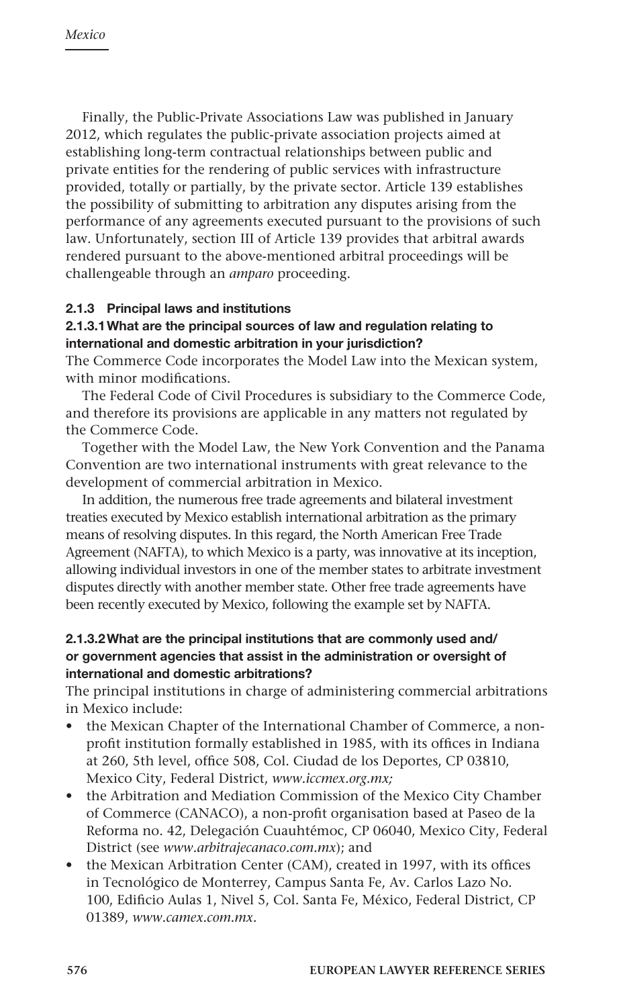Finally, the Public-Private Associations Law was published in January 2012, which regulates the public-private association projects aimed at establishing long-term contractual relationships between public and private entities for the rendering of public services with infrastructure provided, totally or partially, by the private sector. Article 139 establishes the possibility of submitting to arbitration any disputes arising from the performance of any agreements executed pursuant to the provisions of such law. Unfortunately, section III of Article 139 provides that arbitral awards rendered pursuant to the above-mentioned arbitral proceedings will be challengeable through an *amparo* proceeding.

# 2.1.3 Principal laws and institutions

#### 2.1.3.1What are the principal sources of law and regulation relating to international and domestic arbitration in your jurisdiction?

The Commerce Code incorporates the Model Law into the Mexican system, with minor modifications.

The Federal Code of Civil Procedures is subsidiary to the Commerce Code, and therefore its provisions are applicable in any matters not regulated by the Commerce Code.

Together with the Model Law, the New York Convention and the Panama Convention are two international instruments with great relevance to the development of commercial arbitration in Mexico.

In addition, the numerous free trade agreements and bilateral investment treaties executed by Mexico establish international arbitration as the primary means of resolving disputes. In this regard, the North American Free Trade Agreement (NAFTA), to which Mexico is a party, was innovative at its inception, allowing individual investors in one of the member states to arbitrate investment disputes directly with another member state. Other free trade agreements have been recently executed by Mexico, following the example set by NAFTA.

#### 2.1.3.2What are the principal institutions that are commonly used and/ or government agencies that assist in the administration or oversight of international and domestic arbitrations?

The principal institutions in charge of administering commercial arbitrations in Mexico include:

- the Mexican Chapter of the International Chamber of Commerce, a nonprofit institution formally established in 1985, with its offices in Indiana at 260, 5th level, office 508, Col. Ciudad de los Deportes, CP 03810, Mexico City, Federal District, *www.iccmex.org.mx;*
- the Arbitration and Mediation Commission of the Mexico City Chamber of Commerce (CANACO), a non-profit organisation based at Paseo de la Reforma no. 42, Delegación Cuauhtémoc, CP 06040, Mexico City, Federal District (see *www.arbitrajecanaco.com.mx*); and
- the Mexican Arbitration Center (CAM), created in 1997, with its offices in Tecnológico de Monterrey, Campus Santa Fe, Av. Carlos Lazo No. 100, Edificio Aulas 1, Nivel 5, Col. Santa Fe, México, Federal District, CP 01389, *www.camex.com.mx.*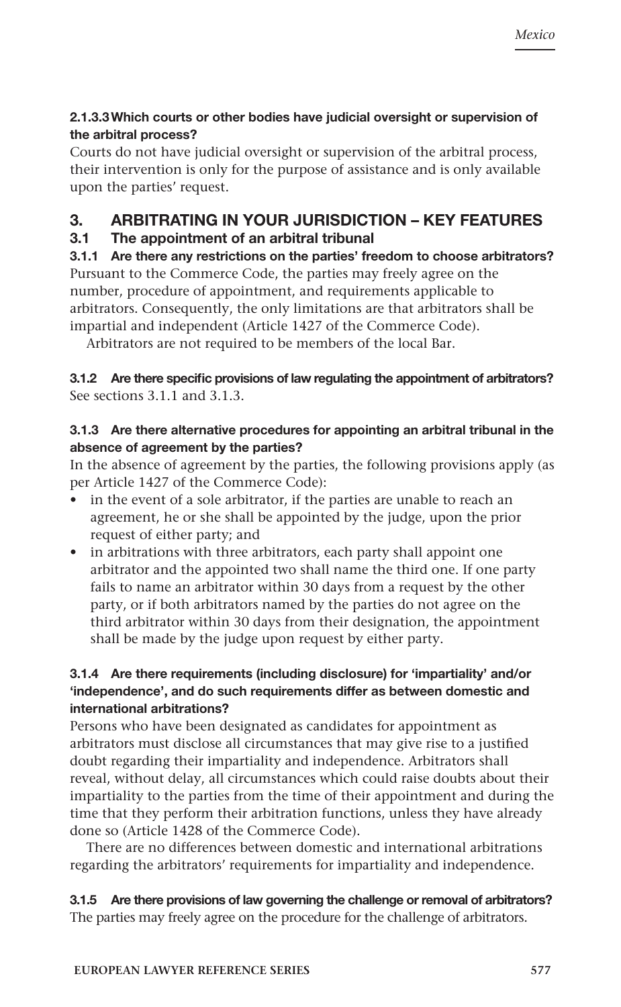# 2.1.3.3Which courts or other bodies have judicial oversight or supervision of the arbitral process?

Courts do not have judicial oversight or supervision of the arbitral process, their intervention is only for the purpose of assistance and is only available upon the parties' request.

# 3. ARBITRATING IN YOUR JURISDICTION – KEY FEATURES

# 3.1 The appointment of an arbitral tribunal

3.1.1 Are there any restrictions on the parties' freedom to choose arbitrators? Pursuant to the Commerce Code, the parties may freely agree on the number, procedure of appointment, and requirements applicable to arbitrators. Consequently, the only limitations are that arbitrators shall be impartial and independent (Article 1427 of the Commerce Code).

Arbitrators are not required to be members of the local Bar.

# 3.1.2 Are there specific provisions of law regulating the appointment of arbitrators? See sections 3.1.1 and 3.1.3.

# 3.1.3 Are there alternative procedures for appointing an arbitral tribunal in the absence of agreement by the parties?

In the absence of agreement by the parties, the following provisions apply (as per Article 1427 of the Commerce Code):

- in the event of a sole arbitrator, if the parties are unable to reach an agreement, he or she shall be appointed by the judge, upon the prior request of either party; and
- in arbitrations with three arbitrators, each party shall appoint one arbitrator and the appointed two shall name the third one. If one party fails to name an arbitrator within 30 days from a request by the other party, or if both arbitrators named by the parties do not agree on the third arbitrator within 30 days from their designation, the appointment shall be made by the judge upon request by either party.

# 3.1.4 Are there requirements (including disclosure) for 'impartiality' and/or 'independence', and do such requirements differ as between domestic and international arbitrations?

Persons who have been designated as candidates for appointment as arbitrators must disclose all circumstances that may give rise to a justified doubt regarding their impartiality and independence. Arbitrators shall reveal, without delay, all circumstances which could raise doubts about their impartiality to the parties from the time of their appointment and during the time that they perform their arbitration functions, unless they have already done so (Article 1428 of the Commerce Code).

There are no differences between domestic and international arbitrations regarding the arbitrators' requirements for impartiality and independence.

3.1.5 Are there provisions of law governing the challenge or removal of arbitrators? The parties may freely agree on the procedure for the challenge of arbitrators.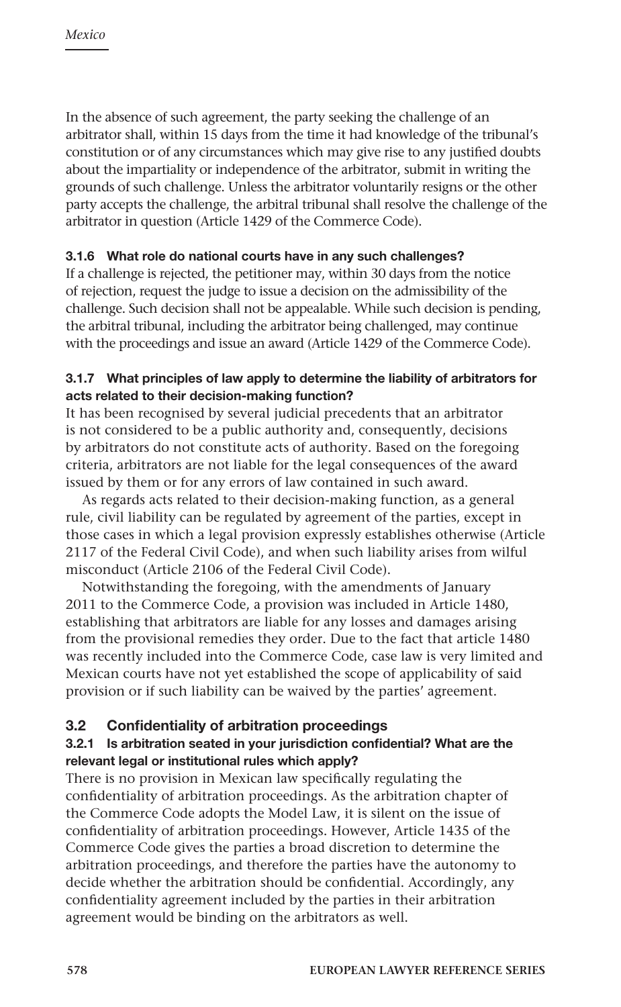In the absence of such agreement, the party seeking the challenge of an arbitrator shall, within 15 days from the time it had knowledge of the tribunal's constitution or of any circumstances which may give rise to any justified doubts about the impartiality or independence of the arbitrator, submit in writing the grounds of such challenge. Unless the arbitrator voluntarily resigns or the other party accepts the challenge, the arbitral tribunal shall resolve the challenge of the arbitrator in question (Article 1429 of the Commerce Code).

# 3.1.6 What role do national courts have in any such challenges?

If a challenge is rejected, the petitioner may, within 30 days from the notice of rejection, request the judge to issue a decision on the admissibility of the challenge. Such decision shall not be appealable. While such decision is pending, the arbitral tribunal, including the arbitrator being challenged, may continue with the proceedings and issue an award (Article 1429 of the Commerce Code).

# 3.1.7 What principles of law apply to determine the liability of arbitrators for acts related to their decision-making function?

It has been recognised by several judicial precedents that an arbitrator is not considered to be a public authority and, consequently, decisions by arbitrators do not constitute acts of authority. Based on the foregoing criteria, arbitrators are not liable for the legal consequences of the award issued by them or for any errors of law contained in such award.

As regards acts related to their decision-making function, as a general rule, civil liability can be regulated by agreement of the parties, except in those cases in which a legal provision expressly establishes otherwise (Article 2117 of the Federal Civil Code), and when such liability arises from wilful misconduct (Article 2106 of the Federal Civil Code).

Notwithstanding the foregoing, with the amendments of January 2011 to the Commerce Code, a provision was included in Article 1480, establishing that arbitrators are liable for any losses and damages arising from the provisional remedies they order. Due to the fact that article 1480 was recently included into the Commerce Code, case law is very limited and Mexican courts have not yet established the scope of applicability of said provision or if such liability can be waived by the parties' agreement.

# 3.2 Confidentiality of arbitration proceedings

# 3.2.1 Is arbitration seated in your jurisdiction confidential? What are the relevant legal or institutional rules which apply?

There is no provision in Mexican law specifically regulating the confidentiality of arbitration proceedings. As the arbitration chapter of the Commerce Code adopts the Model Law, it is silent on the issue of confidentiality of arbitration proceedings. However, Article 1435 of the Commerce Code gives the parties a broad discretion to determine the arbitration proceedings, and therefore the parties have the autonomy to decide whether the arbitration should be confidential. Accordingly, any confidentiality agreement included by the parties in their arbitration agreement would be binding on the arbitrators as well.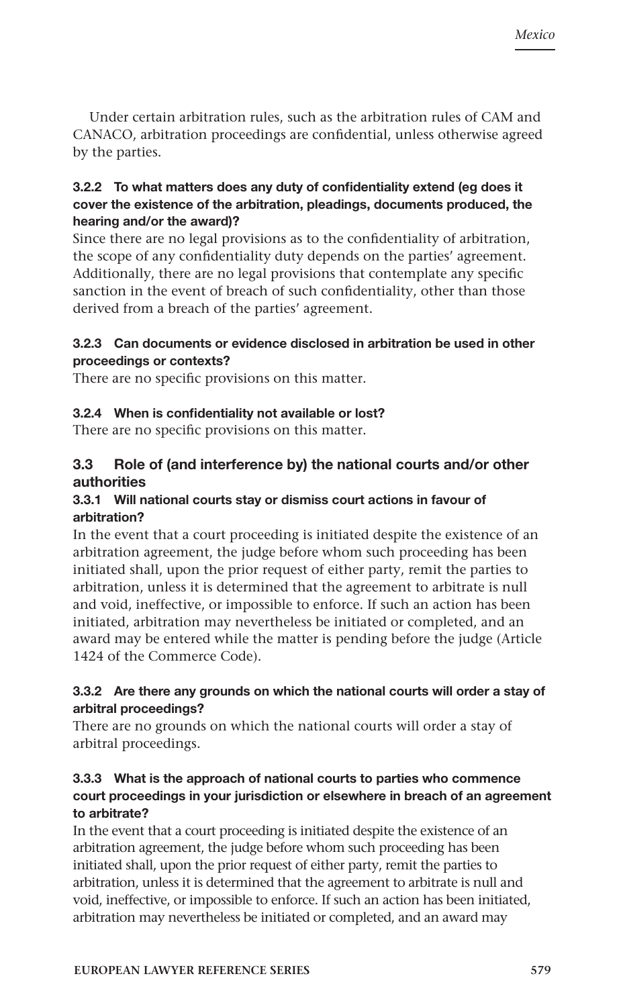Under certain arbitration rules, such as the arbitration rules of CAM and CANACO, arbitration proceedings are confidential, unless otherwise agreed by the parties.

# 3.2.2 To what matters does any duty of confidentiality extend (eg does it cover the existence of the arbitration, pleadings, documents produced, the hearing and/or the award)?

Since there are no legal provisions as to the confidentiality of arbitration, the scope of any confidentiality duty depends on the parties' agreement. Additionally, there are no legal provisions that contemplate any specific sanction in the event of breach of such confidentiality, other than those derived from a breach of the parties' agreement.

#### 3.2.3 Can documents or evidence disclosed in arbitration be used in other proceedings or contexts?

There are no specific provisions on this matter.

#### 3.2.4 When is confidentiality not available or lost?

There are no specific provisions on this matter.

# 3.3 Role of (and interference by) the national courts and/or other authorities

#### 3.3.1 Will national courts stay or dismiss court actions in favour of arbitration?

In the event that a court proceeding is initiated despite the existence of an arbitration agreement, the judge before whom such proceeding has been initiated shall, upon the prior request of either party, remit the parties to arbitration, unless it is determined that the agreement to arbitrate is null and void, ineffective, or impossible to enforce. If such an action has been initiated, arbitration may nevertheless be initiated or completed, and an award may be entered while the matter is pending before the judge (Article 1424 of the Commerce Code).

# 3.3.2 Are there any grounds on which the national courts will order a stay of arbitral proceedings?

There are no grounds on which the national courts will order a stay of arbitral proceedings.

#### 3.3.3 What is the approach of national courts to parties who commence court proceedings in your jurisdiction or elsewhere in breach of an agreement to arbitrate?

In the event that a court proceeding is initiated despite the existence of an arbitration agreement, the judge before whom such proceeding has been initiated shall, upon the prior request of either party, remit the parties to arbitration, unless it is determined that the agreement to arbitrate is null and void, ineffective, or impossible to enforce. If such an action has been initiated, arbitration may nevertheless be initiated or completed, and an award may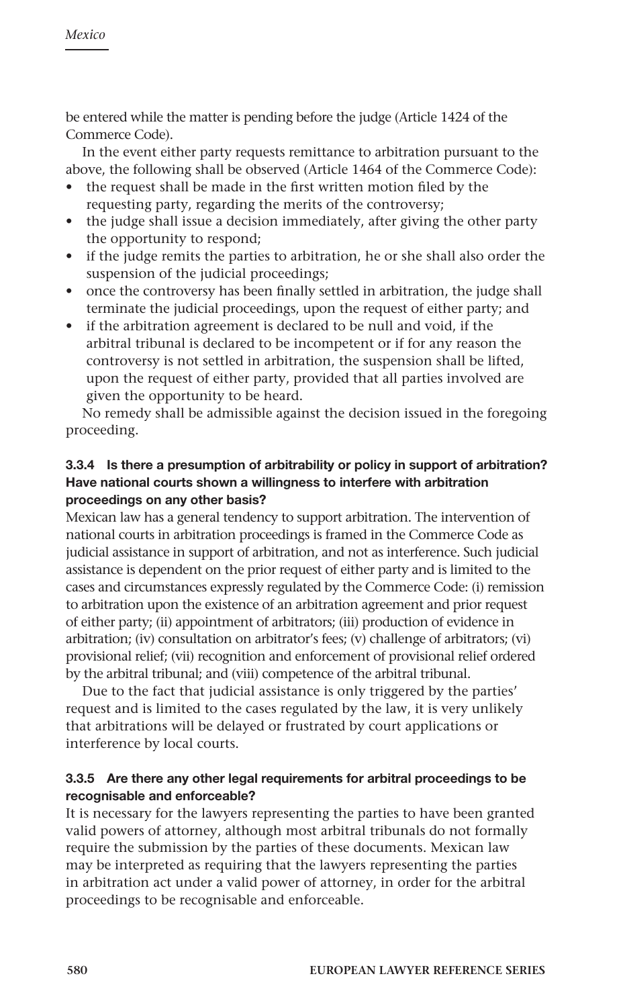be entered while the matter is pending before the judge (Article 1424 of the Commerce Code).

In the event either party requests remittance to arbitration pursuant to the above, the following shall be observed (Article 1464 of the Commerce Code):

- the request shall be made in the first written motion filed by the requesting party, regarding the merits of the controversy;
- the judge shall issue a decision immediately, after giving the other party the opportunity to respond;
- if the judge remits the parties to arbitration, he or she shall also order the suspension of the judicial proceedings;
- once the controversy has been finally settled in arbitration, the judge shall terminate the judicial proceedings, upon the request of either party; and
- if the arbitration agreement is declared to be null and void, if the arbitral tribunal is declared to be incompetent or if for any reason the controversy is not settled in arbitration, the suspension shall be lifted, upon the request of either party, provided that all parties involved are given the opportunity to be heard.

No remedy shall be admissible against the decision issued in the foregoing proceeding.

# 3.3.4 Is there a presumption of arbitrability or policy in support of arbitration? Have national courts shown a willingness to interfere with arbitration proceedings on any other basis?

Mexican law has a general tendency to support arbitration. The intervention of national courts in arbitration proceedings is framed in the Commerce Code as judicial assistance in support of arbitration, and not as interference. Such judicial assistance is dependent on the prior request of either party and is limited to the cases and circumstances expressly regulated by the Commerce Code: (i) remission to arbitration upon the existence of an arbitration agreement and prior request of either party; (ii) appointment of arbitrators; (iii) production of evidence in arbitration; (iv) consultation on arbitrator's fees; (v) challenge of arbitrators; (vi) provisional relief; (vii) recognition and enforcement of provisional relief ordered by the arbitral tribunal; and (viii) competence of the arbitral tribunal.

Due to the fact that judicial assistance is only triggered by the parties' request and is limited to the cases regulated by the law, it is very unlikely that arbitrations will be delayed or frustrated by court applications or interference by local courts.

# 3.3.5 Are there any other legal requirements for arbitral proceedings to be recognisable and enforceable?

It is necessary for the lawyers representing the parties to have been granted valid powers of attorney, although most arbitral tribunals do not formally require the submission by the parties of these documents. Mexican law may be interpreted as requiring that the lawyers representing the parties in arbitration act under a valid power of attorney, in order for the arbitral proceedings to be recognisable and enforceable.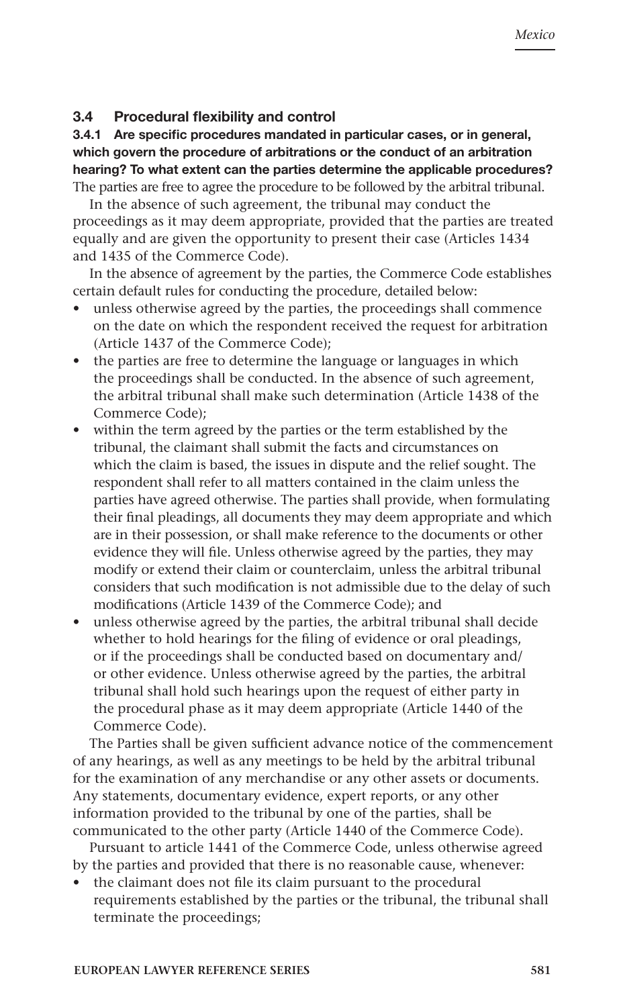#### 3.4 Procedural flexibility and control

3.4.1 Are specific procedures mandated in particular cases, or in general, which govern the procedure of arbitrations or the conduct of an arbitration hearing? To what extent can the parties determine the applicable procedures? The parties are free to agree the procedure to be followed by the arbitral tribunal.

In the absence of such agreement, the tribunal may conduct the proceedings as it may deem appropriate, provided that the parties are treated equally and are given the opportunity to present their case (Articles 1434 and 1435 of the Commerce Code).

In the absence of agreement by the parties, the Commerce Code establishes certain default rules for conducting the procedure, detailed below:

- unless otherwise agreed by the parties, the proceedings shall commence on the date on which the respondent received the request for arbitration (Article 1437 of the Commerce Code);
- the parties are free to determine the language or languages in which the proceedings shall be conducted. In the absence of such agreement, the arbitral tribunal shall make such determination (Article 1438 of the Commerce Code);
- within the term agreed by the parties or the term established by the tribunal, the claimant shall submit the facts and circumstances on which the claim is based, the issues in dispute and the relief sought. The respondent shall refer to all matters contained in the claim unless the parties have agreed otherwise. The parties shall provide, when formulating their final pleadings, all documents they may deem appropriate and which are in their possession, or shall make reference to the documents or other evidence they will file. Unless otherwise agreed by the parties, they may modify or extend their claim or counterclaim, unless the arbitral tribunal considers that such modification is not admissible due to the delay of such modifications (Article 1439 of the Commerce Code); and
- unless otherwise agreed by the parties, the arbitral tribunal shall decide whether to hold hearings for the filing of evidence or oral pleadings, or if the proceedings shall be conducted based on documentary and/ or other evidence. Unless otherwise agreed by the parties, the arbitral tribunal shall hold such hearings upon the request of either party in the procedural phase as it may deem appropriate (Article 1440 of the Commerce Code).

The Parties shall be given sufficient advance notice of the commencement of any hearings, as well as any meetings to be held by the arbitral tribunal for the examination of any merchandise or any other assets or documents. Any statements, documentary evidence, expert reports, or any other information provided to the tribunal by one of the parties, shall be communicated to the other party (Article 1440 of the Commerce Code).

Pursuant to article 1441 of the Commerce Code, unless otherwise agreed by the parties and provided that there is no reasonable cause, whenever:

the claimant does not file its claim pursuant to the procedural requirements established by the parties or the tribunal, the tribunal shall terminate the proceedings;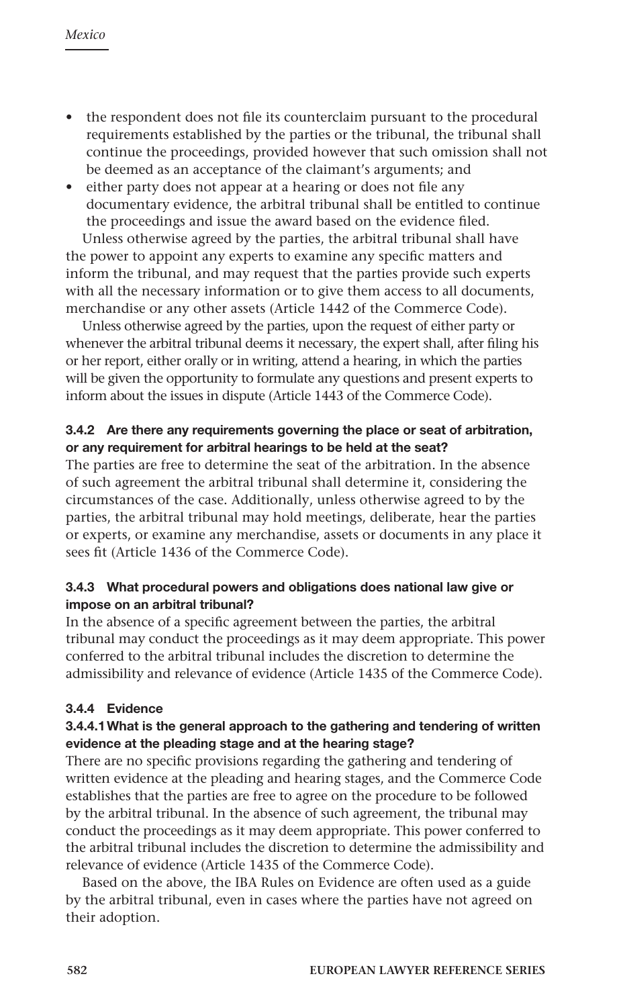- the respondent does not file its counterclaim pursuant to the procedural requirements established by the parties or the tribunal, the tribunal shall continue the proceedings, provided however that such omission shall not be deemed as an acceptance of the claimant's arguments; and
- either party does not appear at a hearing or does not file any documentary evidence, the arbitral tribunal shall be entitled to continue the proceedings and issue the award based on the evidence filed.

Unless otherwise agreed by the parties, the arbitral tribunal shall have the power to appoint any experts to examine any specific matters and inform the tribunal, and may request that the parties provide such experts with all the necessary information or to give them access to all documents, merchandise or any other assets (Article 1442 of the Commerce Code).

Unless otherwise agreed by the parties, upon the request of either party or whenever the arbitral tribunal deems it necessary, the expert shall, after filing his or her report, either orally or in writing, attend a hearing, in which the parties will be given the opportunity to formulate any questions and present experts to inform about the issues in dispute (Article 1443 of the Commerce Code).

# 3.4.2 Are there any requirements governing the place or seat of arbitration, or any requirement for arbitral hearings to be held at the seat?

The parties are free to determine the seat of the arbitration. In the absence of such agreement the arbitral tribunal shall determine it, considering the circumstances of the case. Additionally, unless otherwise agreed to by the parties, the arbitral tribunal may hold meetings, deliberate, hear the parties or experts, or examine any merchandise, assets or documents in any place it sees fit (Article 1436 of the Commerce Code).

# 3.4.3 What procedural powers and obligations does national law give or impose on an arbitral tribunal?

In the absence of a specific agreement between the parties, the arbitral tribunal may conduct the proceedings as it may deem appropriate. This power conferred to the arbitral tribunal includes the discretion to determine the admissibility and relevance of evidence (Article 1435 of the Commerce Code).

# 3.4.4 Evidence

# 3.4.4.1What is the general approach to the gathering and tendering of written evidence at the pleading stage and at the hearing stage?

There are no specific provisions regarding the gathering and tendering of written evidence at the pleading and hearing stages, and the Commerce Code establishes that the parties are free to agree on the procedure to be followed by the arbitral tribunal. In the absence of such agreement, the tribunal may conduct the proceedings as it may deem appropriate. This power conferred to the arbitral tribunal includes the discretion to determine the admissibility and relevance of evidence (Article 1435 of the Commerce Code).

Based on the above, the IBA Rules on Evidence are often used as a guide by the arbitral tribunal, even in cases where the parties have not agreed on their adoption.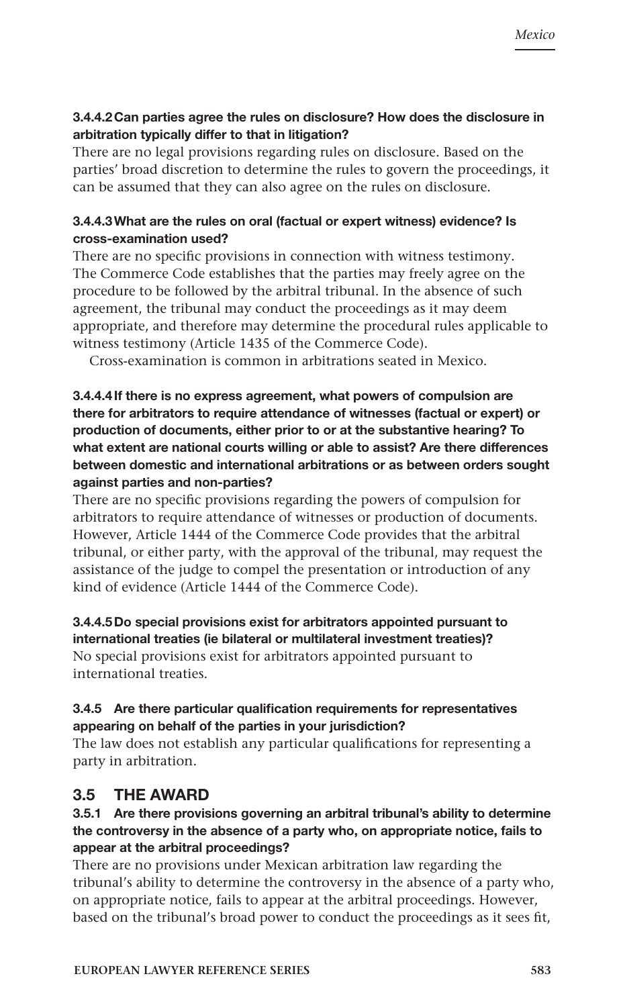# 3.4.4.2Can parties agree the rules on disclosure? How does the disclosure in arbitration typically differ to that in litigation?

There are no legal provisions regarding rules on disclosure. Based on the parties' broad discretion to determine the rules to govern the proceedings, it can be assumed that they can also agree on the rules on disclosure.

# 3.4.4.3What are the rules on oral (factual or expert witness) evidence? Is cross-examination used?

There are no specific provisions in connection with witness testimony. The Commerce Code establishes that the parties may freely agree on the procedure to be followed by the arbitral tribunal. In the absence of such agreement, the tribunal may conduct the proceedings as it may deem appropriate, and therefore may determine the procedural rules applicable to witness testimony (Article 1435 of the Commerce Code).

Cross-examination is common in arbitrations seated in Mexico.

3.4.4.4If there is no express agreement, what powers of compulsion are there for arbitrators to require attendance of witnesses (factual or expert) or production of documents, either prior to or at the substantive hearing? To what extent are national courts willing or able to assist? Are there differences between domestic and international arbitrations or as between orders sought against parties and non-parties?

There are no specific provisions regarding the powers of compulsion for arbitrators to require attendance of witnesses or production of documents. However, Article 1444 of the Commerce Code provides that the arbitral tribunal, or either party, with the approval of the tribunal, may request the assistance of the judge to compel the presentation or introduction of any kind of evidence (Article 1444 of the Commerce Code).

3.4.4.5Do special provisions exist for arbitrators appointed pursuant to international treaties (ie bilateral or multilateral investment treaties)? No special provisions exist for arbitrators appointed pursuant to international treaties.

# 3.4.5 Are there particular qualification requirements for representatives appearing on behalf of the parties in your jurisdiction?

The law does not establish any particular qualifications for representing a party in arbitration.

# 3.5 THE AWARD

# 3.5.1 Are there provisions governing an arbitral tribunal's ability to determine the controversy in the absence of a party who, on appropriate notice, fails to appear at the arbitral proceedings?

There are no provisions under Mexican arbitration law regarding the tribunal's ability to determine the controversy in the absence of a party who, on appropriate notice, fails to appear at the arbitral proceedings. However, based on the tribunal's broad power to conduct the proceedings as it sees fit,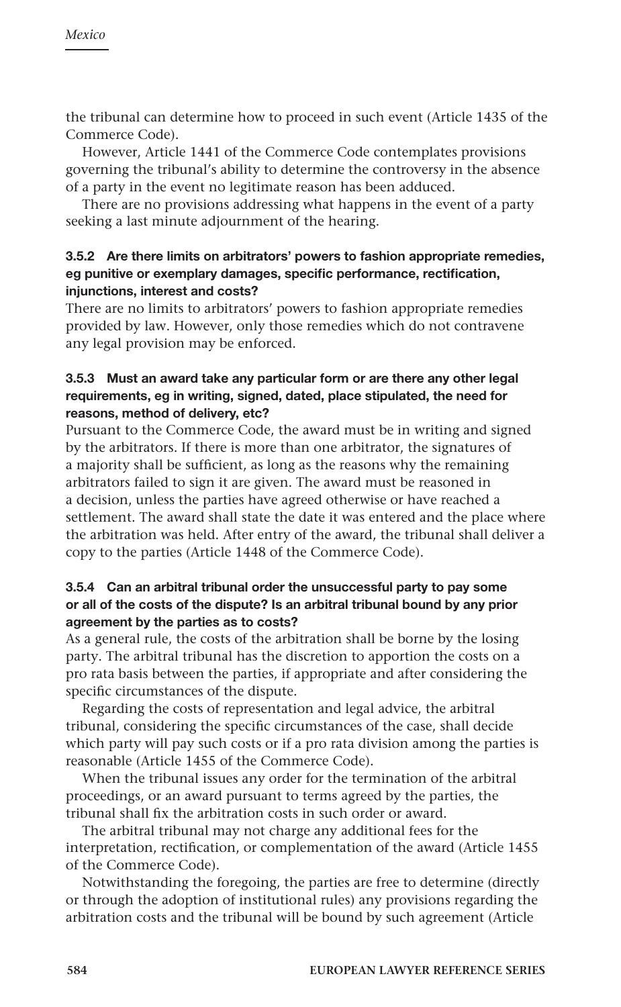the tribunal can determine how to proceed in such event (Article 1435 of the Commerce Code).

However, Article 1441 of the Commerce Code contemplates provisions governing the tribunal's ability to determine the controversy in the absence of a party in the event no legitimate reason has been adduced.

There are no provisions addressing what happens in the event of a party seeking a last minute adjournment of the hearing.

# 3.5.2 Are there limits on arbitrators' powers to fashion appropriate remedies, eg punitive or exemplary damages, specific performance, rectification, injunctions, interest and costs?

There are no limits to arbitrators' powers to fashion appropriate remedies provided by law. However, only those remedies which do not contravene any legal provision may be enforced.

# 3.5.3 Must an award take any particular form or are there any other legal requirements, eg in writing, signed, dated, place stipulated, the need for reasons, method of delivery, etc?

Pursuant to the Commerce Code, the award must be in writing and signed by the arbitrators. If there is more than one arbitrator, the signatures of a majority shall be sufficient, as long as the reasons why the remaining arbitrators failed to sign it are given. The award must be reasoned in a decision, unless the parties have agreed otherwise or have reached a settlement. The award shall state the date it was entered and the place where the arbitration was held. After entry of the award, the tribunal shall deliver a copy to the parties (Article 1448 of the Commerce Code).

# 3.5.4 Can an arbitral tribunal order the unsuccessful party to pay some or all of the costs of the dispute? Is an arbitral tribunal bound by any prior agreement by the parties as to costs?

As a general rule, the costs of the arbitration shall be borne by the losing party. The arbitral tribunal has the discretion to apportion the costs on a pro rata basis between the parties, if appropriate and after considering the specific circumstances of the dispute.

Regarding the costs of representation and legal advice, the arbitral tribunal, considering the specific circumstances of the case, shall decide which party will pay such costs or if a pro rata division among the parties is reasonable (Article 1455 of the Commerce Code).

When the tribunal issues any order for the termination of the arbitral proceedings, or an award pursuant to terms agreed by the parties, the tribunal shall fix the arbitration costs in such order or award.

The arbitral tribunal may not charge any additional fees for the interpretation, rectification, or complementation of the award (Article 1455 of the Commerce Code).

Notwithstanding the foregoing, the parties are free to determine (directly or through the adoption of institutional rules) any provisions regarding the arbitration costs and the tribunal will be bound by such agreement (Article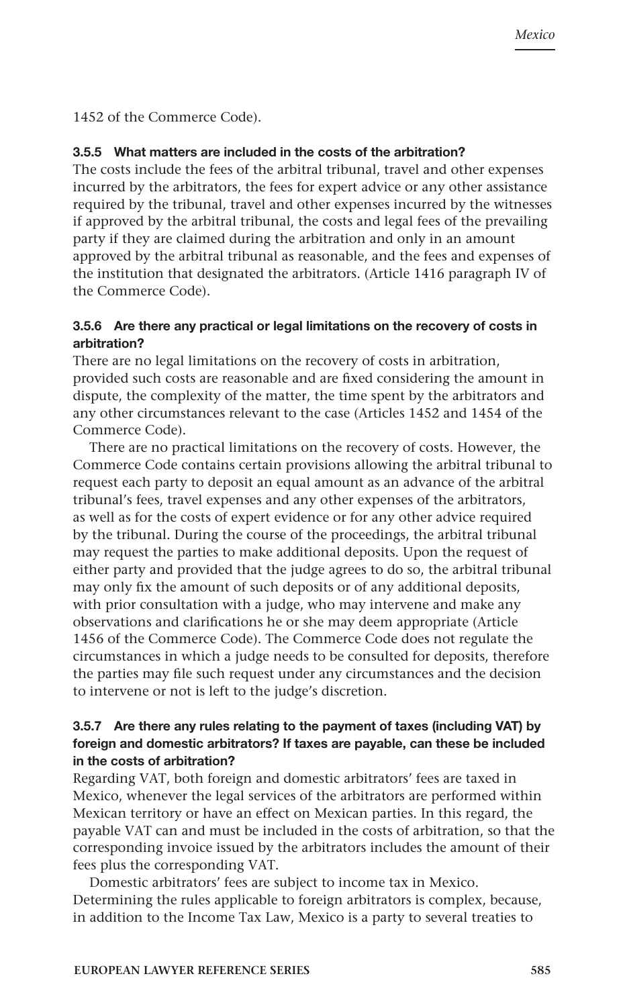# 1452 of the Commerce Code).

#### 3.5.5 What matters are included in the costs of the arbitration?

The costs include the fees of the arbitral tribunal, travel and other expenses incurred by the arbitrators, the fees for expert advice or any other assistance required by the tribunal, travel and other expenses incurred by the witnesses if approved by the arbitral tribunal, the costs and legal fees of the prevailing party if they are claimed during the arbitration and only in an amount approved by the arbitral tribunal as reasonable, and the fees and expenses of the institution that designated the arbitrators. (Article 1416 paragraph IV of the Commerce Code).

#### 3.5.6 Are there any practical or legal limitations on the recovery of costs in arbitration?

There are no legal limitations on the recovery of costs in arbitration, provided such costs are reasonable and are fixed considering the amount in dispute, the complexity of the matter, the time spent by the arbitrators and any other circumstances relevant to the case (Articles 1452 and 1454 of the Commerce Code).

There are no practical limitations on the recovery of costs. However, the Commerce Code contains certain provisions allowing the arbitral tribunal to request each party to deposit an equal amount as an advance of the arbitral tribunal's fees, travel expenses and any other expenses of the arbitrators, as well as for the costs of expert evidence or for any other advice required by the tribunal. During the course of the proceedings, the arbitral tribunal may request the parties to make additional deposits. Upon the request of either party and provided that the judge agrees to do so, the arbitral tribunal may only fix the amount of such deposits or of any additional deposits, with prior consultation with a judge, who may intervene and make any observations and clarifications he or she may deem appropriate (Article 1456 of the Commerce Code). The Commerce Code does not regulate the circumstances in which a judge needs to be consulted for deposits, therefore the parties may file such request under any circumstances and the decision to intervene or not is left to the judge's discretion.

#### 3.5.7 Are there any rules relating to the payment of taxes (including VAT) by foreign and domestic arbitrators? If taxes are payable, can these be included in the costs of arbitration?

Regarding VAT, both foreign and domestic arbitrators' fees are taxed in Mexico, whenever the legal services of the arbitrators are performed within Mexican territory or have an effect on Mexican parties. In this regard, the payable VAT can and must be included in the costs of arbitration, so that the corresponding invoice issued by the arbitrators includes the amount of their fees plus the corresponding VAT.

Domestic arbitrators' fees are subject to income tax in Mexico. Determining the rules applicable to foreign arbitrators is complex, because, in addition to the Income Tax Law, Mexico is a party to several treaties to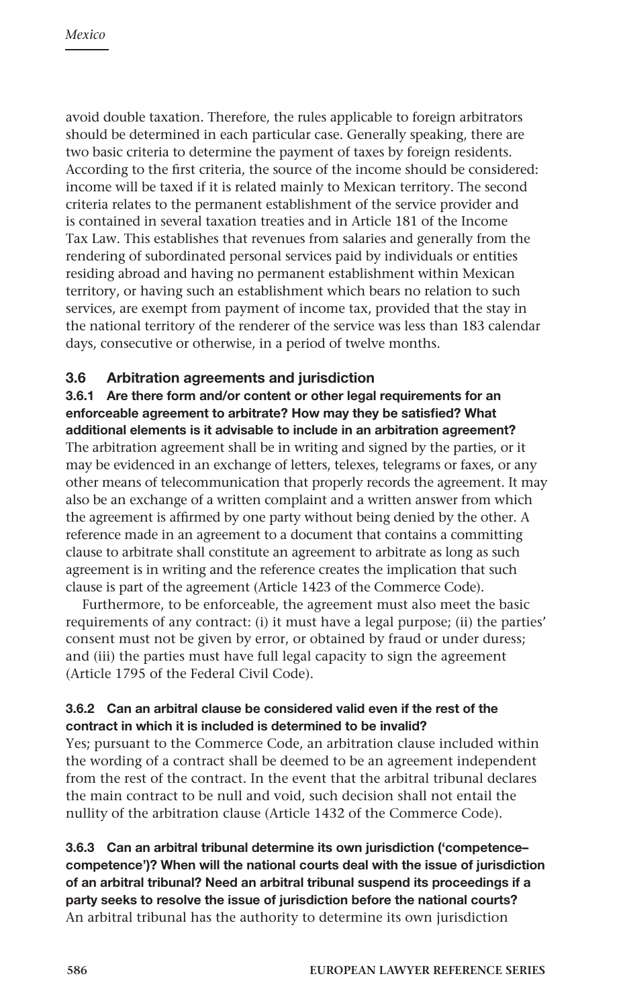avoid double taxation. Therefore, the rules applicable to foreign arbitrators should be determined in each particular case. Generally speaking, there are two basic criteria to determine the payment of taxes by foreign residents. According to the first criteria, the source of the income should be considered: income will be taxed if it is related mainly to Mexican territory. The second criteria relates to the permanent establishment of the service provider and is contained in several taxation treaties and in Article 181 of the Income Tax Law. This establishes that revenues from salaries and generally from the rendering of subordinated personal services paid by individuals or entities residing abroad and having no permanent establishment within Mexican territory, or having such an establishment which bears no relation to such services, are exempt from payment of income tax, provided that the stay in the national territory of the renderer of the service was less than 183 calendar days, consecutive or otherwise, in a period of twelve months.

# 3.6 Arbitration agreements and jurisdiction

3.6.1 Are there form and/or content or other legal requirements for an enforceable agreement to arbitrate? How may they be satisfied? What additional elements is it advisable to include in an arbitration agreement? The arbitration agreement shall be in writing and signed by the parties, or it may be evidenced in an exchange of letters, telexes, telegrams or faxes, or any other means of telecommunication that properly records the agreement. It may also be an exchange of a written complaint and a written answer from which the agreement is affirmed by one party without being denied by the other. A reference made in an agreement to a document that contains a committing clause to arbitrate shall constitute an agreement to arbitrate as long as such agreement is in writing and the reference creates the implication that such clause is part of the agreement (Article 1423 of the Commerce Code).

Furthermore, to be enforceable, the agreement must also meet the basic requirements of any contract: (i) it must have a legal purpose; (ii) the parties' consent must not be given by error, or obtained by fraud or under duress; and (iii) the parties must have full legal capacity to sign the agreement (Article 1795 of the Federal Civil Code).

# 3.6.2 Can an arbitral clause be considered valid even if the rest of the contract in which it is included is determined to be invalid?

Yes; pursuant to the Commerce Code, an arbitration clause included within the wording of a contract shall be deemed to be an agreement independent from the rest of the contract. In the event that the arbitral tribunal declares the main contract to be null and void, such decision shall not entail the nullity of the arbitration clause (Article 1432 of the Commerce Code).

# 3.6.3 Can an arbitral tribunal determine its own jurisdiction ('competence– competence')? When will the national courts deal with the issue of jurisdiction of an arbitral tribunal? Need an arbitral tribunal suspend its proceedings if a party seeks to resolve the issue of jurisdiction before the national courts? An arbitral tribunal has the authority to determine its own jurisdiction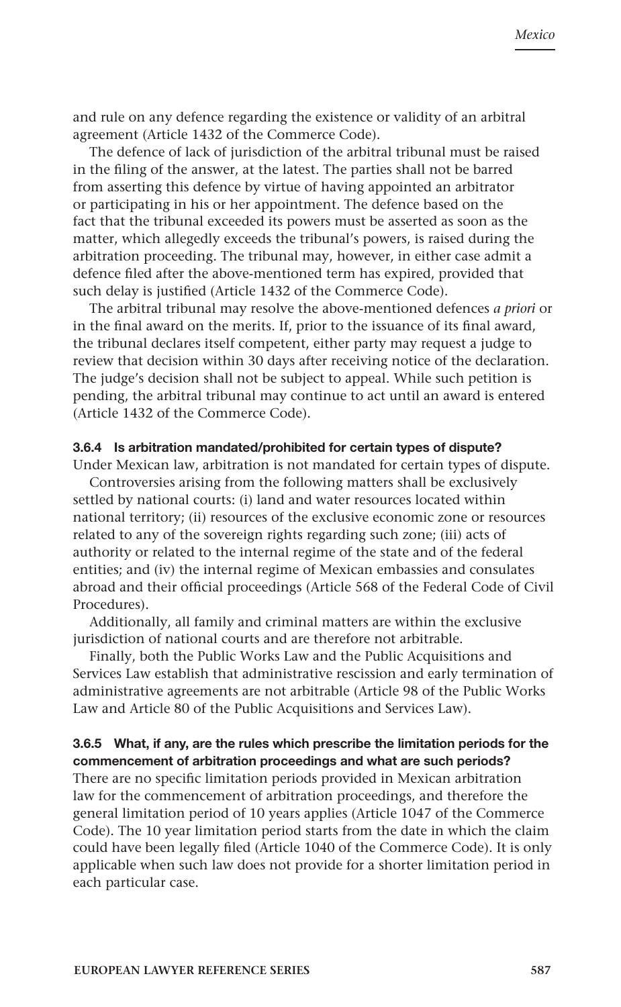and rule on any defence regarding the existence or validity of an arbitral agreement (Article 1432 of the Commerce Code).

The defence of lack of jurisdiction of the arbitral tribunal must be raised in the filing of the answer, at the latest. The parties shall not be barred from asserting this defence by virtue of having appointed an arbitrator or participating in his or her appointment. The defence based on the fact that the tribunal exceeded its powers must be asserted as soon as the matter, which allegedly exceeds the tribunal's powers, is raised during the arbitration proceeding. The tribunal may, however, in either case admit a defence filed after the above-mentioned term has expired, provided that such delay is justified (Article 1432 of the Commerce Code).

The arbitral tribunal may resolve the above-mentioned defences *a priori* or in the final award on the merits. If, prior to the issuance of its final award, the tribunal declares itself competent, either party may request a judge to review that decision within 30 days after receiving notice of the declaration. The judge's decision shall not be subject to appeal. While such petition is pending, the arbitral tribunal may continue to act until an award is entered (Article 1432 of the Commerce Code).

#### 3.6.4 Is arbitration mandated/prohibited for certain types of dispute?

Under Mexican law, arbitration is not mandated for certain types of dispute.

Controversies arising from the following matters shall be exclusively settled by national courts: (i) land and water resources located within national territory; (ii) resources of the exclusive economic zone or resources related to any of the sovereign rights regarding such zone; (iii) acts of authority or related to the internal regime of the state and of the federal entities; and (iv) the internal regime of Mexican embassies and consulates abroad and their official proceedings (Article 568 of the Federal Code of Civil Procedures).

Additionally, all family and criminal matters are within the exclusive jurisdiction of national courts and are therefore not arbitrable.

Finally, both the Public Works Law and the Public Acquisitions and Services Law establish that administrative rescission and early termination of administrative agreements are not arbitrable (Article 98 of the Public Works Law and Article 80 of the Public Acquisitions and Services Law).

# 3.6.5 What, if any, are the rules which prescribe the limitation periods for the commencement of arbitration proceedings and what are such periods?

There are no specific limitation periods provided in Mexican arbitration law for the commencement of arbitration proceedings, and therefore the general limitation period of 10 years applies (Article 1047 of the Commerce Code). The 10 year limitation period starts from the date in which the claim could have been legally filed (Article 1040 of the Commerce Code). It is only applicable when such law does not provide for a shorter limitation period in each particular case.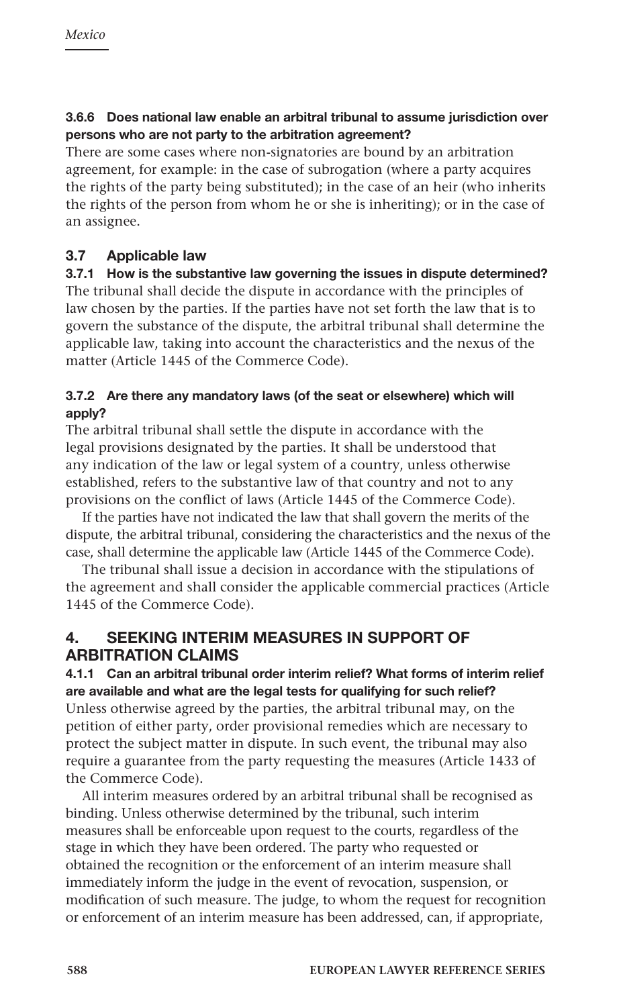# 3.6.6 Does national law enable an arbitral tribunal to assume jurisdiction over persons who are not party to the arbitration agreement?

There are some cases where non-signatories are bound by an arbitration agreement, for example: in the case of subrogation (where a party acquires the rights of the party being substituted); in the case of an heir (who inherits the rights of the person from whom he or she is inheriting); or in the case of an assignee.

# 3.7 Applicable law

3.7.1 How is the substantive law governing the issues in dispute determined? The tribunal shall decide the dispute in accordance with the principles of law chosen by the parties. If the parties have not set forth the law that is to govern the substance of the dispute, the arbitral tribunal shall determine the applicable law, taking into account the characteristics and the nexus of the matter (Article 1445 of the Commerce Code).

# 3.7.2 Are there any mandatory laws (of the seat or elsewhere) which will apply?

The arbitral tribunal shall settle the dispute in accordance with the legal provisions designated by the parties. It shall be understood that any indication of the law or legal system of a country, unless otherwise established, refers to the substantive law of that country and not to any provisions on the conflict of laws (Article 1445 of the Commerce Code).

If the parties have not indicated the law that shall govern the merits of the dispute, the arbitral tribunal, considering the characteristics and the nexus of the case, shall determine the applicable law (Article 1445 of the Commerce Code).

The tribunal shall issue a decision in accordance with the stipulations of the agreement and shall consider the applicable commercial practices (Article 1445 of the Commerce Code).

# 4. SEEKING INTERIM MEASURES IN SUPPORT OF ARBITRATION CLAIMS

4.1.1 Can an arbitral tribunal order interim relief? What forms of interim relief are available and what are the legal tests for qualifying for such relief? Unless otherwise agreed by the parties, the arbitral tribunal may, on the petition of either party, order provisional remedies which are necessary to protect the subject matter in dispute. In such event, the tribunal may also require a guarantee from the party requesting the measures (Article 1433 of the Commerce Code).

All interim measures ordered by an arbitral tribunal shall be recognised as binding. Unless otherwise determined by the tribunal, such interim measures shall be enforceable upon request to the courts, regardless of the stage in which they have been ordered. The party who requested or obtained the recognition or the enforcement of an interim measure shall immediately inform the judge in the event of revocation, suspension, or modification of such measure. The judge, to whom the request for recognition or enforcement of an interim measure has been addressed, can, if appropriate,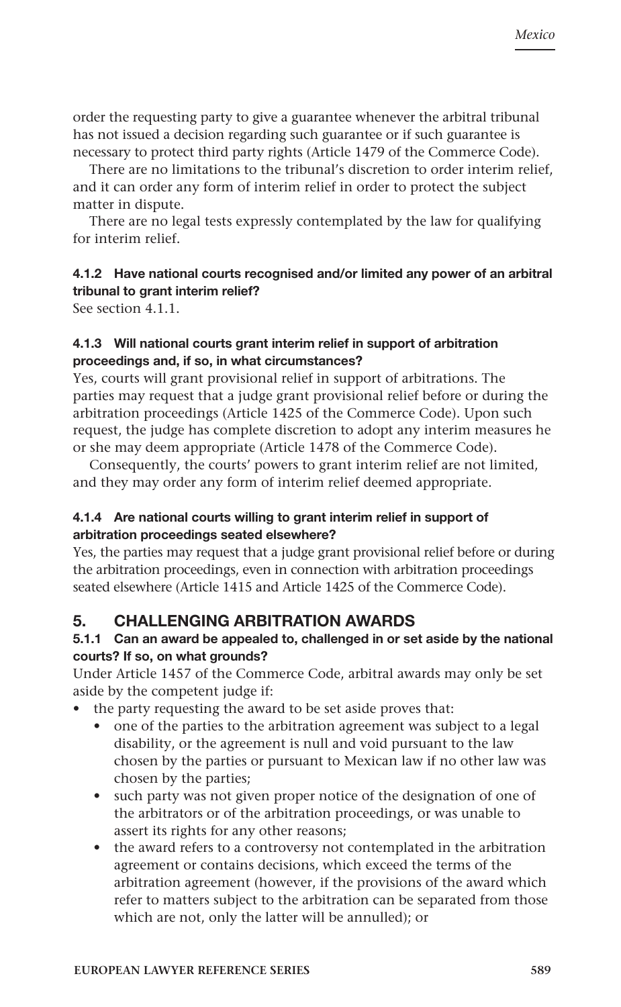order the requesting party to give a guarantee whenever the arbitral tribunal has not issued a decision regarding such guarantee or if such guarantee is necessary to protect third party rights (Article 1479 of the Commerce Code).

There are no limitations to the tribunal's discretion to order interim relief, and it can order any form of interim relief in order to protect the subject matter in dispute.

There are no legal tests expressly contemplated by the law for qualifying for interim relief.

# 4.1.2 Have national courts recognised and/or limited any power of an arbitral tribunal to grant interim relief?

See section 4.1.1.

# 4.1.3 Will national courts grant interim relief in support of arbitration proceedings and, if so, in what circumstances?

Yes, courts will grant provisional relief in support of arbitrations. The parties may request that a judge grant provisional relief before or during the arbitration proceedings (Article 1425 of the Commerce Code). Upon such request, the judge has complete discretion to adopt any interim measures he or she may deem appropriate (Article 1478 of the Commerce Code).

Consequently, the courts' powers to grant interim relief are not limited, and they may order any form of interim relief deemed appropriate.

# 4.1.4 Are national courts willing to grant interim relief in support of arbitration proceedings seated elsewhere?

Yes, the parties may request that a judge grant provisional relief before or during the arbitration proceedings, even in connection with arbitration proceedings seated elsewhere (Article 1415 and Article 1425 of the Commerce Code).

# 5. CHALLENGING ARBITRATION AWARDS

# 5.1.1 Can an award be appealed to, challenged in or set aside by the national courts? If so, on what grounds?

Under Article 1457 of the Commerce Code, arbitral awards may only be set aside by the competent judge if:

the party requesting the award to be set aside proves that:

- one of the parties to the arbitration agreement was subject to a legal disability, or the agreement is null and void pursuant to the law chosen by the parties or pursuant to Mexican law if no other law was chosen by the parties;
- such party was not given proper notice of the designation of one of the arbitrators or of the arbitration proceedings, or was unable to assert its rights for any other reasons;
- the award refers to a controversy not contemplated in the arbitration agreement or contains decisions, which exceed the terms of the arbitration agreement (however, if the provisions of the award which refer to matters subject to the arbitration can be separated from those which are not, only the latter will be annulled); or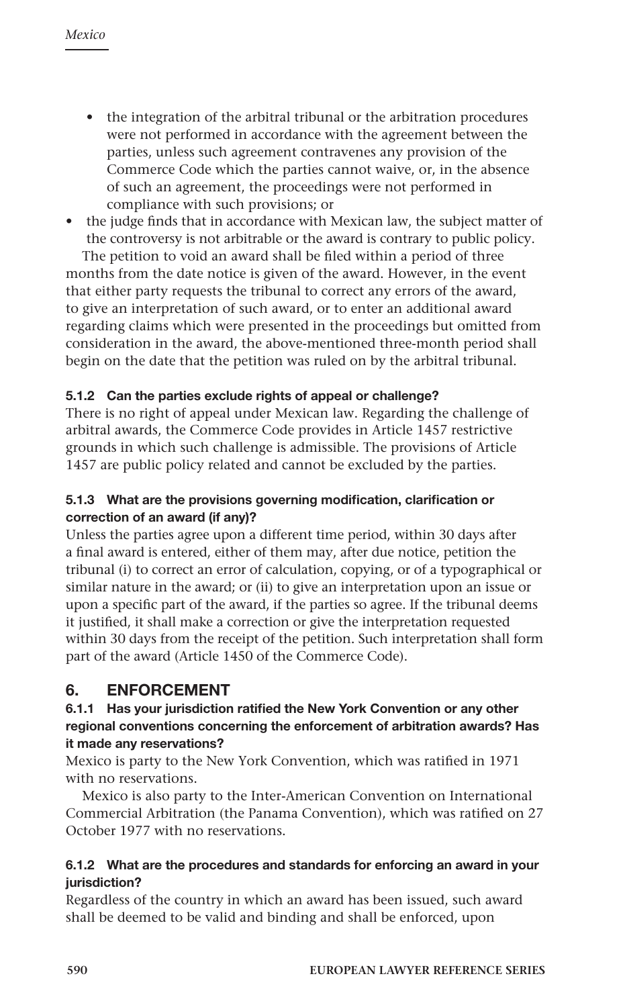- the integration of the arbitral tribunal or the arbitration procedures were not performed in accordance with the agreement between the parties, unless such agreement contravenes any provision of the Commerce Code which the parties cannot waive, or, in the absence of such an agreement, the proceedings were not performed in compliance with such provisions; or
- the judge finds that in accordance with Mexican law, the subject matter of the controversy is not arbitrable or the award is contrary to public policy.

The petition to void an award shall be filed within a period of three months from the date notice is given of the award. However, in the event that either party requests the tribunal to correct any errors of the award, to give an interpretation of such award, or to enter an additional award regarding claims which were presented in the proceedings but omitted from consideration in the award, the above-mentioned three-month period shall begin on the date that the petition was ruled on by the arbitral tribunal.

# 5.1.2 Can the parties exclude rights of appeal or challenge?

There is no right of appeal under Mexican law. Regarding the challenge of arbitral awards, the Commerce Code provides in Article 1457 restrictive grounds in which such challenge is admissible. The provisions of Article 1457 are public policy related and cannot be excluded by the parties.

# 5.1.3 What are the provisions governing modification, clarification or correction of an award (if any)?

Unless the parties agree upon a different time period, within 30 days after a final award is entered, either of them may, after due notice, petition the tribunal (i) to correct an error of calculation, copying, or of a typographical or similar nature in the award; or (ii) to give an interpretation upon an issue or upon a specific part of the award, if the parties so agree. If the tribunal deems it justified, it shall make a correction or give the interpretation requested within 30 days from the receipt of the petition. Such interpretation shall form part of the award (Article 1450 of the Commerce Code).

# 6. ENFORCEMENT

# 6.1.1 Has your jurisdiction ratified the New York Convention or any other regional conventions concerning the enforcement of arbitration awards? Has it made any reservations?

Mexico is party to the New York Convention, which was ratified in 1971 with no reservations.

Mexico is also party to the Inter-American Convention on International Commercial Arbitration (the Panama Convention), which was ratified on 27 October 1977 with no reservations.

# 6.1.2 What are the procedures and standards for enforcing an award in your jurisdiction?

Regardless of the country in which an award has been issued, such award shall be deemed to be valid and binding and shall be enforced, upon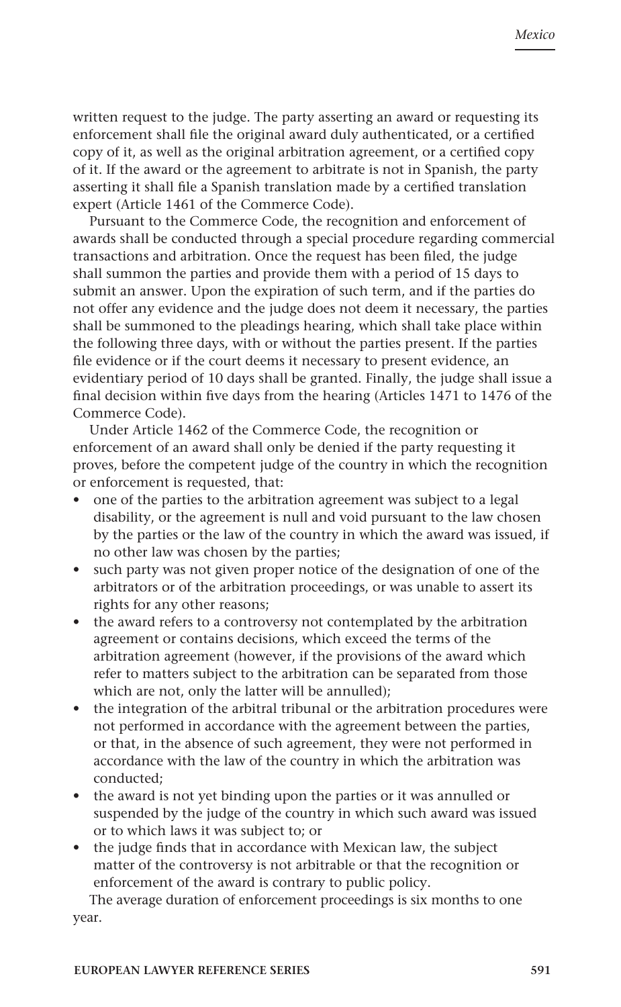written request to the judge. The party asserting an award or requesting its enforcement shall file the original award duly authenticated, or a certified copy of it, as well as the original arbitration agreement, or a certified copy of it. If the award or the agreement to arbitrate is not in Spanish, the party asserting it shall file a Spanish translation made by a certified translation expert (Article 1461 of the Commerce Code).

Pursuant to the Commerce Code, the recognition and enforcement of awards shall be conducted through a special procedure regarding commercial transactions and arbitration. Once the request has been filed, the judge shall summon the parties and provide them with a period of 15 days to submit an answer. Upon the expiration of such term, and if the parties do not offer any evidence and the judge does not deem it necessary, the parties shall be summoned to the pleadings hearing, which shall take place within the following three days, with or without the parties present. If the parties file evidence or if the court deems it necessary to present evidence, an evidentiary period of 10 days shall be granted. Finally, the judge shall issue a final decision within five days from the hearing (Articles 1471 to 1476 of the Commerce Code).

Under Article 1462 of the Commerce Code, the recognition or enforcement of an award shall only be denied if the party requesting it proves, before the competent judge of the country in which the recognition or enforcement is requested, that:

- one of the parties to the arbitration agreement was subject to a legal disability, or the agreement is null and void pursuant to the law chosen by the parties or the law of the country in which the award was issued, if no other law was chosen by the parties;
- such party was not given proper notice of the designation of one of the arbitrators or of the arbitration proceedings, or was unable to assert its rights for any other reasons;
- the award refers to a controversy not contemplated by the arbitration agreement or contains decisions, which exceed the terms of the arbitration agreement (however, if the provisions of the award which refer to matters subject to the arbitration can be separated from those which are not, only the latter will be annulled);
- the integration of the arbitral tribunal or the arbitration procedures were not performed in accordance with the agreement between the parties, or that, in the absence of such agreement, they were not performed in accordance with the law of the country in which the arbitration was conducted;
- the award is not yet binding upon the parties or it was annulled or suspended by the judge of the country in which such award was issued or to which laws it was subject to; or
- the judge finds that in accordance with Mexican law, the subject matter of the controversy is not arbitrable or that the recognition or enforcement of the award is contrary to public policy.

The average duration of enforcement proceedings is six months to one year.